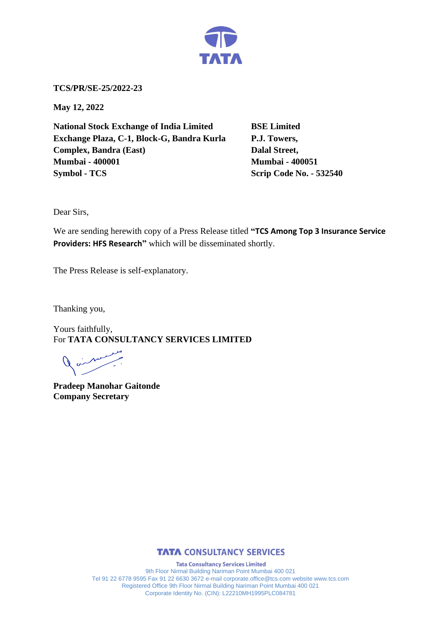

**TCS/PR/SE-25/2022-23**

**May 12, 2022**

**National Stock Exchange of India Limited BSE Limited Exchange Plaza, C-1, Block-G, Bandra Kurla P.J. Towers, Complex, Bandra (East)** Dalal Street, **Mumbai - 400001 Mumbai - 400051 Symbol - TCS Scrip Code No. - 532540** 

Dear Sirs,

We are sending herewith copy of a Press Release titled **"TCS Among Top 3 Insurance Service Providers: HFS Research"** which will be disseminated shortly.

The Press Release is self-explanatory.

Thanking you,

Yours faithfully, For **TATA CONSULTANCY SERVICES LIMITED**

**Pradeep Manohar Gaitonde Company Secretary**



**Tata Consultancy Services Limited** 9th Floor Nirmal Building Nariman Point Mumbai 400 021 Tel 91 22 6778 9595 Fax 91 22 6630 3672 e-mail corporate.office@tcs.com website www.tcs.com Registered Office 9th Floor Nirmal Building Nariman Point Mumbai 400 021 Corporate Identity No. (CIN): L22210MH1995PLC084781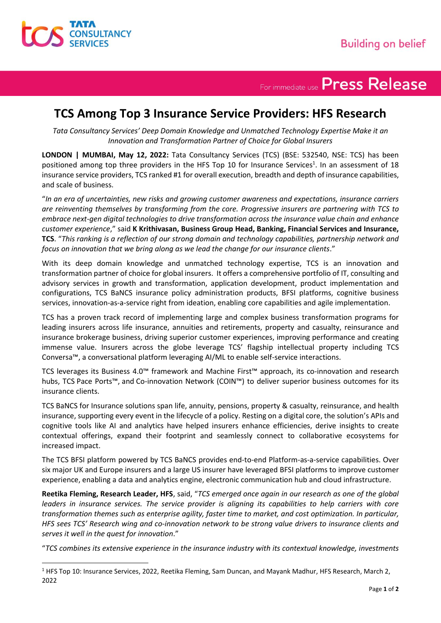

## For immediate use Press Release

### **TCS Among Top 3 Insurance Service Providers: HFS Research**

*Tata Consultancy Services' Deep Domain Knowledge and Unmatched Technology Expertise Make it an Innovation and Transformation Partner of Choice for Global Insurers*

**LONDON | MUMBAI, May 12, 2022:** Tata Consultancy Services (TCS) (BSE: 532540, NSE: TCS) has been positioned among top three providers in the HFS Top 10 for Insurance Services<sup>1</sup>. In an assessment of 18 insurance service providers, TCS ranked #1 for overall execution, breadth and depth of insurance capabilities, and scale of business.

"*In an era of uncertainties, new risks and growing customer awareness and expectations, insurance carriers are reinventing themselves by transforming from the core. Progressive insurers are partnering with TCS to embrace next-gen digital technologies to drive transformation across the insurance value chain and enhance customer experience*," said **K Krithivasan, Business Group Head, Banking, Financial Services and Insurance, TCS**. "*This ranking is a reflection of our strong domain and technology capabilities, partnership network and focus on innovation that we bring along as we lead the change for our insurance clients*."

With its deep domain knowledge and unmatched technology expertise, TCS is an innovation and transformation partner of choice for global insurers. It offers a comprehensive portfolio of IT, consulting and advisory services in growth and transformation, application development, product implementation and configurations, TCS BaNCS insurance policy administration products, BFSI platforms, cognitive business services, innovation-as-a-service right from ideation, enabling core capabilities and agile implementation.

TCS has a proven track record of implementing large and complex business transformation programs for leading insurers across life insurance, annuities and retirements, property and casualty, reinsurance and insurance brokerage business, driving superior customer experiences, improving performance and creating immense value. Insurers across the globe leverage TCS' flagship intellectual property including TCS Conversa™, a conversational platform leveraging AI/ML to enable self-service interactions.

TCS leverages its Business 4.0™ framework and Machine First™ approach, its co-innovation and research hubs, TCS Pace Ports™, and Co-innovation Network (COIN™) to deliver superior business outcomes for its insurance clients.

TCS BaNCS for Insurance solutions span life, annuity, pensions, property & casualty, reinsurance, and health insurance, supporting every event in the lifecycle of a policy. Resting on a digital core, the solution's APIs and cognitive tools like AI and analytics have helped insurers enhance efficiencies, derive insights to create contextual offerings, expand their footprint and seamlessly connect to collaborative ecosystems for increased impact.

The TCS BFSI platform powered by TCS BaNCS provides end-to-end Platform-as-a-service capabilities. Over six major UK and Europe insurers and a large US insurer have leveraged BFSI platforms to improve customer experience, enabling a data and analytics engine, electronic communication hub and cloud infrastructure.

**Reetika Fleming, Research Leader, HFS**, said, "*TCS emerged once again in our research as one of the global leaders in insurance services. The service provider is aligning its capabilities to help carriers with core transformation themes such as enterprise agility, faster time to market, and cost optimization. In particular, HFS sees TCS' Research wing and co-innovation network to be strong value drivers to insurance clients and serves it well in the quest for innovation*."

"*TCS combines its extensive experience in the insurance industry with its contextual knowledge, investments* 

<sup>1</sup> HFS Top 10: Insurance Services, 2022, Reetika Fleming, Sam Duncan, and Mayank Madhur, HFS Research, March 2, 2022